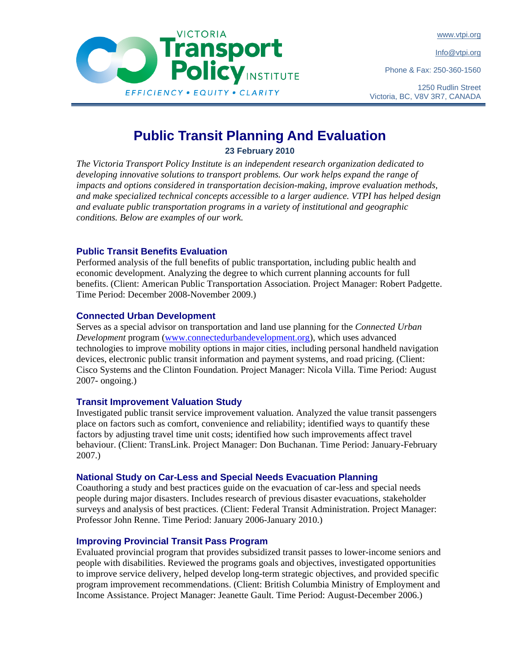www.vtpi.org

Info@vtpi.org

Phone & Fax: 250-360-1560



1250 Rudlin Street Victoria, BC, V8V 3R7, CANADA

# **Public Transit Planning And Evaluation**

**23 February 2010** 

*The Victoria Transport Policy Institute is an independent research organization dedicated to developing innovative solutions to transport problems. Our work helps expand the range of impacts and options considered in transportation decision-making, improve evaluation methods, and make specialized technical concepts accessible to a larger audience. VTPI has helped design and evaluate public transportation programs in a variety of institutional and geographic conditions. Below are examples of our work.* 

# **Public Transit Benefits Evaluation**

Performed analysis of the full benefits of public transportation, including public health and economic development. Analyzing the degree to which current planning accounts for full benefits. (Client: American Public Transportation Association. Project Manager: Robert Padgette. Time Period: December 2008-November 2009.)

#### **Connected Urban Development**

Serves as a special advisor on transportation and land use planning for the *Connected Urban Development* program (www.connectedurbandevelopment.org), which uses advanced technologies to improve mobility options in major cities, including personal handheld navigation devices, electronic public transit information and payment systems, and road pricing. (Client: Cisco Systems and the Clinton Foundation. Project Manager: Nicola Villa. Time Period: August 2007- ongoing.)

# **Transit Improvement Valuation Study**

Investigated public transit service improvement valuation. Analyzed the value transit passengers place on factors such as comfort, convenience and reliability; identified ways to quantify these factors by adjusting travel time unit costs; identified how such improvements affect travel behaviour. (Client: TransLink. Project Manager: Don Buchanan. Time Period: January-February 2007.)

#### **National Study on Car-Less and Special Needs Evacuation Planning**

Coauthoring a study and best practices guide on the evacuation of car-less and special needs people during major disasters. Includes research of previous disaster evacuations, stakeholder surveys and analysis of best practices. (Client: Federal Transit Administration. Project Manager: Professor John Renne. Time Period: January 2006-January 2010.)

# **Improving Provincial Transit Pass Program**

Evaluated provincial program that provides subsidized transit passes to lower-income seniors and people with disabilities. Reviewed the programs goals and objectives, investigated opportunities to improve service delivery, helped develop long-term strategic objectives, and provided specific program improvement recommendations. (Client: British Columbia Ministry of Employment and Income Assistance. Project Manager: Jeanette Gault. Time Period: August-December 2006.)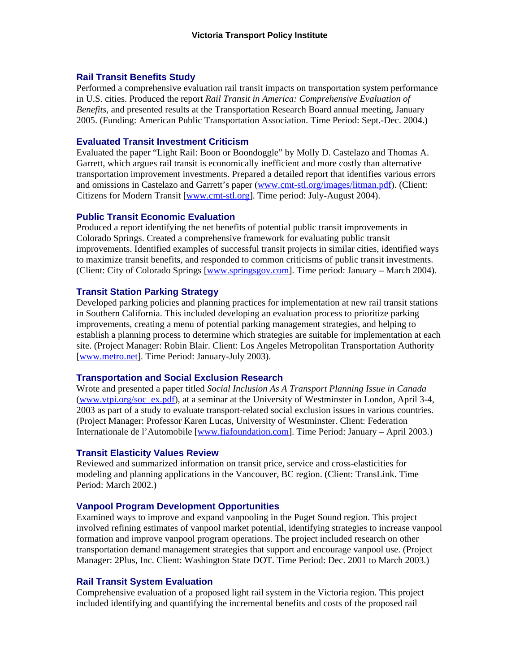#### **Rail Transit Benefits Study**

Performed a comprehensive evaluation rail transit impacts on transportation system performance in U.S. cities. Produced the report *Rail Transit in America: Comprehensive Evaluation of Benefits*, and presented results at the Transportation Research Board annual meeting, January 2005. (Funding: American Public Transportation Association. Time Period: Sept.-Dec. 2004.)

#### **Evaluated Transit Investment Criticism**

Evaluated the paper "Light Rail: Boon or Boondoggle" by Molly D. Castelazo and Thomas A. Garrett, which argues rail transit is economically inefficient and more costly than alternative transportation improvement investments. Prepared a detailed report that identifies various errors and omissions in Castelazo and Garrett's paper (www.cmt-stl.org/images/litman.pdf). (Client: Citizens for Modern Transit [www.cmt-stl.org]. Time period: July-August 2004).

#### **Public Transit Economic Evaluation**

Produced a report identifying the net benefits of potential public transit improvements in Colorado Springs. Created a comprehensive framework for evaluating public transit improvements. Identified examples of successful transit projects in similar cities, identified ways to maximize transit benefits, and responded to common criticisms of public transit investments. (Client: City of Colorado Springs [www.springsgov.com]. Time period: January – March 2004).

#### **Transit Station Parking Strategy**

Developed parking policies and planning practices for implementation at new rail transit stations in Southern California. This included developing an evaluation process to prioritize parking improvements, creating a menu of potential parking management strategies, and helping to establish a planning process to determine which strategies are suitable for implementation at each site. (Project Manager: Robin Blair. Client: Los Angeles Metropolitan Transportation Authority [www.metro.net]. Time Period: January-July 2003).

#### **Transportation and Social Exclusion Research**

Wrote and presented a paper titled *Social Inclusion As A Transport Planning Issue in Canada* (www.vtpi.org/soc\_ex.pdf), at a seminar at the University of Westminster in London, April 3-4, 2003 as part of a study to evaluate transport-related social exclusion issues in various countries. (Project Manager: Professor Karen Lucas, University of Westminster. Client: Federation Internationale de l'Automobile [www.fiafoundation.com]. Time Period: January – April 2003.)

#### **Transit Elasticity Values Review**

Reviewed and summarized information on transit price, service and cross-elasticities for modeling and planning applications in the Vancouver, BC region. (Client: TransLink. Time Period: March 2002.)

#### **Vanpool Program Development Opportunities**

Examined ways to improve and expand vanpooling in the Puget Sound region. This project involved refining estimates of vanpool market potential, identifying strategies to increase vanpool formation and improve vanpool program operations. The project included research on other transportation demand management strategies that support and encourage vanpool use. (Project Manager: 2Plus, Inc. Client: Washington State DOT. Time Period: Dec. 2001 to March 2003.)

#### **Rail Transit System Evaluation**

Comprehensive evaluation of a proposed light rail system in the Victoria region. This project included identifying and quantifying the incremental benefits and costs of the proposed rail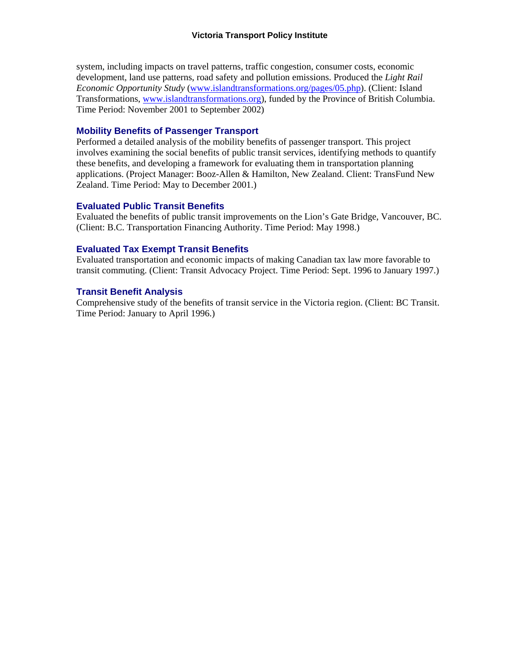system, including impacts on travel patterns, traffic congestion, consumer costs, economic development, land use patterns, road safety and pollution emissions. Produced the *Light Rail Economic Opportunity Study* (www.islandtransformations.org/pages/05.php). (Client: Island Transformations, www.islandtransformations.org), funded by the Province of British Columbia. Time Period: November 2001 to September 2002)

# **Mobility Benefits of Passenger Transport**

Performed a detailed analysis of the mobility benefits of passenger transport. This project involves examining the social benefits of public transit services, identifying methods to quantify these benefits, and developing a framework for evaluating them in transportation planning applications. (Project Manager: Booz-Allen & Hamilton, New Zealand. Client: TransFund New Zealand. Time Period: May to December 2001.)

# **Evaluated Public Transit Benefits**

Evaluated the benefits of public transit improvements on the Lion's Gate Bridge, Vancouver, BC. (Client: B.C. Transportation Financing Authority. Time Period: May 1998.)

# **Evaluated Tax Exempt Transit Benefits**

Evaluated transportation and economic impacts of making Canadian tax law more favorable to transit commuting. (Client: Transit Advocacy Project. Time Period: Sept. 1996 to January 1997.)

# **Transit Benefit Analysis**

Comprehensive study of the benefits of transit service in the Victoria region. (Client: BC Transit. Time Period: January to April 1996.)